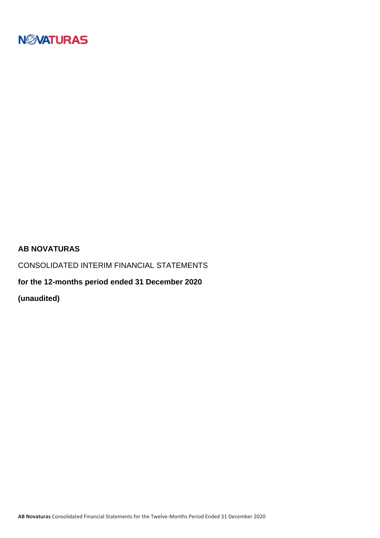

### **AB NOVATURAS**

CONSOLIDATED INTERIM FINANCIAL STATEMENTS

**for the 12-months period ended 31 December 2020**

**(unaudited)**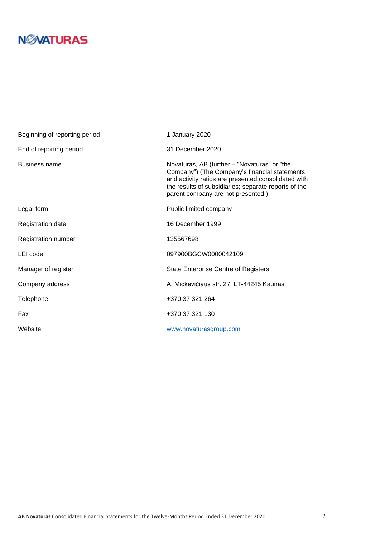# **N***N***XATURAS**

| Beginning of reporting period | 1 January 2020                                                                                                                                                                                                                                     |
|-------------------------------|----------------------------------------------------------------------------------------------------------------------------------------------------------------------------------------------------------------------------------------------------|
| End of reporting period       | 31 December 2020                                                                                                                                                                                                                                   |
| <b>Business name</b>          | Novaturas, AB (further – "Novaturas" or "the<br>Company") (The Company's financial statements<br>and activity ratios are presented consolidated with<br>the results of subsidiaries; separate reports of the<br>parent company are not presented.) |
| Legal form                    | Public limited company                                                                                                                                                                                                                             |
| <b>Registration date</b>      | 16 December 1999                                                                                                                                                                                                                                   |
| Registration number           | 135567698                                                                                                                                                                                                                                          |
| LEI code                      | 097900BGCW0000042109                                                                                                                                                                                                                               |
| Manager of register           | <b>State Enterprise Centre of Registers</b>                                                                                                                                                                                                        |
| Company address               | A. Mickevičiaus str. 27, LT-44245 Kaunas                                                                                                                                                                                                           |
| Telephone                     | +370 37 321 264                                                                                                                                                                                                                                    |
| Fax                           | +370 37 321 130                                                                                                                                                                                                                                    |
| Website                       | www.novaturasgroup.com                                                                                                                                                                                                                             |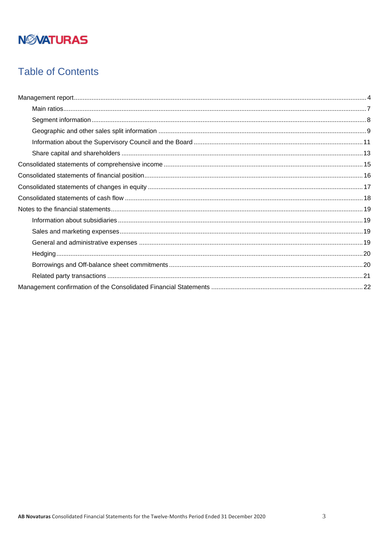## **Table of Contents**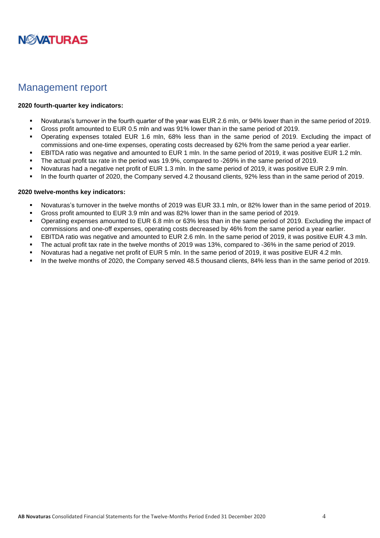

### <span id="page-3-0"></span>Management report

#### **2020 fourth-quarter key indicators:**

- Novaturas's turnover in the fourth quarter of the year was EUR 2.6 mln, or 94% lower than in the same period of 2019.
- Gross profit amounted to EUR 0.5 mln and was 91% lower than in the same period of 2019.
- Operating expenses totaled EUR 1.6 mln, 68% less than in the same period of 2019. Excluding the impact of commissions and one-time expenses, operating costs decreased by 62% from the same period a year earlier.
- EBITDA ratio was negative and amounted to EUR 1 mln. In the same period of 2019, it was positive EUR 1.2 mln.
- The actual profit tax rate in the period was 19.9%, compared to -269% in the same period of 2019.
- Novaturas had a negative net profit of EUR 1.3 mln. In the same period of 2019, it was positive EUR 2.9 mln.
- In the fourth quarter of 2020, the Company served 4.2 thousand clients, 92% less than in the same period of 2019.

#### **2020 twelve-months key indicators:**

- Novaturas's turnover in the twelve months of 2019 was EUR 33.1 mln, or 82% lower than in the same period of 2019.
- Gross profit amounted to EUR 3.9 mln and was 82% lower than in the same period of 2019.
- Operating expenses amounted to EUR 6.8 mln or 63% less than in the same period of 2019. Excluding the impact of commissions and one-off expenses, operating costs decreased by 46% from the same period a year earlier.
- EBITDA ratio was negative and amounted to EUR 2.6 mln. In the same period of 2019, it was positive EUR 4.3 mln.
- The actual profit tax rate in the twelve months of 2019 was 13%, compared to -36% in the same period of 2019.
- Novaturas had a negative net profit of EUR 5 mln. In the same period of 2019, it was positive EUR 4.2 mln.
- In the twelve months of 2020, the Company served 48.5 thousand clients, 84% less than in the same period of 2019.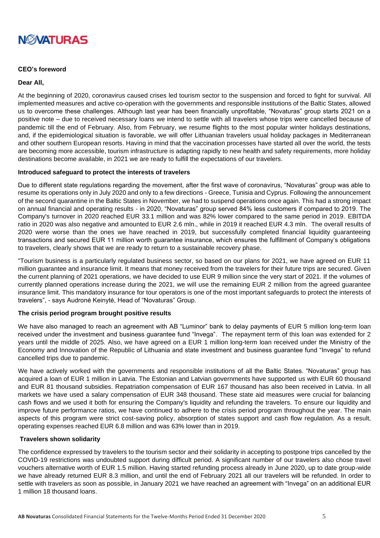

#### **CEO's foreword**

#### **Dear All,**

At the beginning of 2020, coronavirus caused crises led tourism sector to the suspension and forced to fight for survival. All implemented measures and active co-operation with the governments and responsible institutions of the Baltic States, allowed us to overcome these challenges. Although last year has been financially unprofitable, "Novaturas" group starts 2021 on a positive note – due to received necessary loans we intend to settle with all travelers whose trips were cancelled because of pandemic till the end of February. Also, from February, we resume flights to the most popular winter holidays destinations, and, if the epidemiological situation is favorable, we will offer Lithuanian travelers usual holiday packages in Mediterranean and other southern European resorts. Having in mind that the vaccination processes have started all over the world, the tests are becoming more accessible, tourism infrastructure is adapting rapidly to new health and safety requirements, more holiday destinations become available, in 2021 we are ready to fulfill the expectations of our travelers.

#### **Introduced safeguard to protect the interests of travelers**

Due to different state regulations regarding the movement, after the first wave of coronavirus, "Novaturas" group was able to resume its operations only in July 2020 and only to a few directions - Greece, Tunisia and Cyprus. Following the announcement of the second quarantine in the Baltic States in November, we had to suspend operations once again. This had a strong impact on annual financial and operating results - in 2020, "Novaturas" group served 84% less customers if compared to 2019. The Company's turnover in 2020 reached EUR 33.1 million and was 82% lower compared to the same period in 2019. EBITDA ratio in 2020 was also negative and amounted to EUR 2.6 mln., while in 2019 it reached EUR 4.3 mln. The overall results of 2020 were worse than the ones we have reached in 2019, but successfully completed financial liquidity guaranteeing transactions and secured EUR 11 million worth guarantee insurance, which ensures the fulfillment of Company's obligations to travelers, clearly shows that we are ready to return to a sustainable recovery phase.

"Tourism business is a particularly regulated business sector, so based on our plans for 2021, we have agreed on EUR 11 million guarantee and insurance limit. It means that money received from the travelers for their future trips are secured. Given the current planning of 2021 operations, we have decided to use EUR 9 million since the very start of 2021. If the volumes of currently planned operations increase during the 2021, we will use the remaining EUR 2 million from the agreed guarantee insurance limit. This mandatory insurance for tour operators is one of the most important safeguards to protect the interests of travelers", - says Audronė Keinytė, Head of "Novaturas" Group.

#### **The crisis period program brought positive results**

We have also managed to reach an agreement with AB "Luminor" bank to delay payments of EUR 5 million long-term loan received under the investment and business guarantee fund "Invega". The repayment term of this loan was extended for 2 years until the middle of 2025. Also, we have agreed on a EUR 1 million long-term loan received under the Ministry of the Economy and Innovation of the Republic of Lithuania and state investment and business guarantee fund "Invega" to refund cancelled trips due to pandemic.

We have actively worked with the governments and responsible institutions of all the Baltic States. "Novaturas" group has acquired a loan of EUR 1 million in Latvia. The Estonian and Latvian governments have supported us with EUR 60 thousand and EUR 81 thousand subsidies. Repatriation compensation of EUR 167 thousand has also been received in Latvia. In all markets we have used a salary compensation of EUR 348 thousand. These state aid measures were crucial for balancing cash flows and we used it both for ensuring the Company's liquidity and refunding the travelers. To ensure our liquidity and improve future performance ratios, we have continued to adhere to the crisis period program throughout the year. The main aspects of this program were strict cost-saving policy, absorption of states support and cash flow regulation. As a result, operating expenses reached EUR 6.8 million and was 63% lower than in 2019.

#### **Travelers shown solidarity**

The confidence expressed by travelers to the tourism sector and their solidarity in accepting to postpone trips cancelled by the COVID-19 restrictions was undoubted support during difficult period. A significant number of our travelers also chose travel vouchers alternative worth of EUR 1.5 million. Having started refunding process already in June 2020, up to date group-wide we have already returned EUR 8.3 million, and until the end of February 2021 all our travelers will be refunded. In order to settle with travelers as soon as possible, in January 2021 we have reached an agreement with "Invega" on an additional EUR 1 million 18 thousand loans.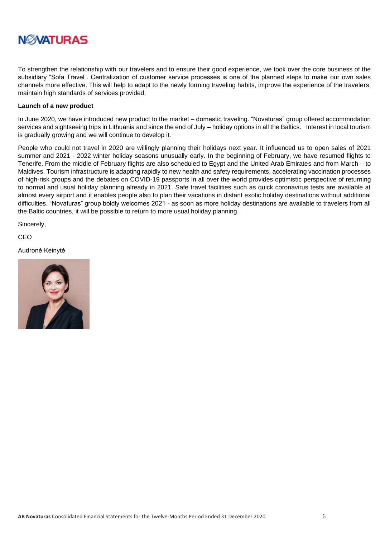# **NØVATURAS**

To strengthen the relationship with our travelers and to ensure their good experience, we took over the core business of the subsidiary "Sofa Travel". Centralization of customer service processes is one of the planned steps to make our own sales channels more effective. This will help to adapt to the newly forming traveling habits, improve the experience of the travelers, maintain high standards of services provided.

#### **Launch of a new product**

In June 2020, we have introduced new product to the market – domestic traveling. "Novaturas" group offered accommodation services and sightseeing trips in Lithuania and since the end of July – holiday options in all the Baltics. Interest in local tourism is gradually growing and we will continue to develop it.

People who could not travel in 2020 are willingly planning their holidays next year. It influenced us to open sales of 2021 summer and 2021 - 2022 winter holiday seasons unusually early. In the beginning of February, we have resumed flights to Tenerife. From the middle of February flights are also scheduled to Egypt and the United Arab Emirates and from March – to Maldives. Tourism infrastructure is adapting rapidly to new health and safety requirements, accelerating vaccination processes of high-risk groups and the debates on COVID-19 passports in all over the world provides optimistic perspective of returning to normal and usual holiday planning already in 2021. Safe travel facilities such as quick coronavirus tests are available at almost every airport and it enables people also to plan their vacations in distant exotic holiday destinations without additional difficulties. "Novaturas" group boldly welcomes 2021 - as soon as more holiday destinations are available to travelers from all the Baltic countries, it will be possible to return to more usual holiday planning.

Sincerely,

CEO

Audronė Keinytė

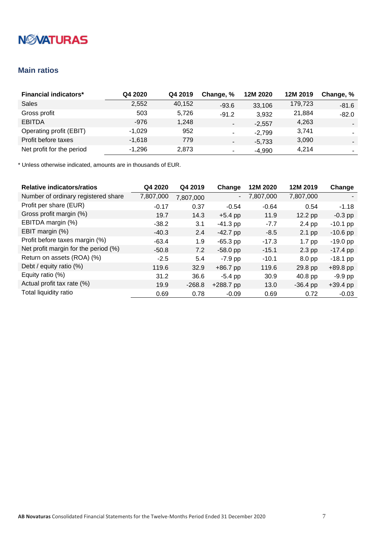### <span id="page-6-0"></span>**Main ratios**

| <b>Financial indicators*</b>   | Q4 2020  | Q4 2019 | Change, %                | 12M 2020 | 12M 2019 | Change, %                |
|--------------------------------|----------|---------|--------------------------|----------|----------|--------------------------|
| Sales                          | 2,552    | 40,152  | $-93.6$                  | 33,106   | 179,723  | $-81.6$                  |
| Gross profit                   | 503      | 5.726   | $-91.2$                  | 3,932    | 21,884   | $-82.0$                  |
| <b>EBITDA</b>                  | $-976$   | 1.248   | $\overline{\phantom{a}}$ | $-2.557$ | 4,263    | $\overline{\phantom{a}}$ |
| <b>Operating profit (EBIT)</b> | $-1,029$ | 952     | $\overline{\phantom{a}}$ | $-2,799$ | 3.741    |                          |
| Profit before taxes            | $-1,618$ | 779     |                          | $-5,733$ | 3,090    |                          |
| Net profit for the period      | $-1,296$ | 2,873   | ۰                        | $-4,990$ | 4.214    | ۰                        |

| <b>Relative indicators/ratios</b>    | Q4 2020   | Q4 2019   | Change      | 12M 2020  | 12M 2019          | Change     |
|--------------------------------------|-----------|-----------|-------------|-----------|-------------------|------------|
| Number of ordinary registered share  | 7,807,000 | 7,807,000 | -           | 7,807,000 | 7,807,000         |            |
| Profit per share (EUR)               | $-0.17$   | 0.37      | $-0.54$     | $-0.64$   | 0.54              | $-1.18$    |
| Gross profit margin (%)              | 19.7      | 14.3      | $+5.4$ pp   | 11.9      | $12.2$ pp         | $-0.3$ pp  |
| EBITDA margin (%)                    | $-38.2$   | 3.1       | $-41.3$ pp  | $-7.7$    | 2.4 pp            | $-10.1$ pp |
| EBIT margin (%)                      | $-40.3$   | 2.4       | $-42.7$ pp  | $-8.5$    | $2.1$ pp          | $-10.6$ pp |
| Profit before taxes margin (%)       | $-63.4$   | 1.9       | $-65.3$ pp  | $-17.3$   | $1.7$ pp          | $-19.0$ pp |
| Net profit margin for the period (%) | $-50.8$   | 7.2       | $-58.0$ pp  | $-15.1$   | $2.3$ pp          | $-17.4$ pp |
| Return on assets (ROA) (%)           | $-2.5$    | 5.4       | $-7.9$ pp   | $-10.1$   | 8.0 <sub>pp</sub> | $-18.1$ pp |
| Debt / equity ratio (%)              | 119.6     | 32.9      | $+86.7$ pp  | 119.6     | 29.8 pp           | $+89.8$ pp |
| Equity ratio (%)                     | 31.2      | 36.6      | $-5.4$ pp   | 30.9      | 40.8 pp           | $-9.9$ pp  |
| Actual profit tax rate (%)           | 19.9      | $-268.8$  | $+288.7$ pp | 13.0      | $-36.4$ pp        | $+39.4$ pp |
| Total liquidity ratio                | 0.69      | 0.78      | $-0.09$     | 0.69      | 0.72              | $-0.03$    |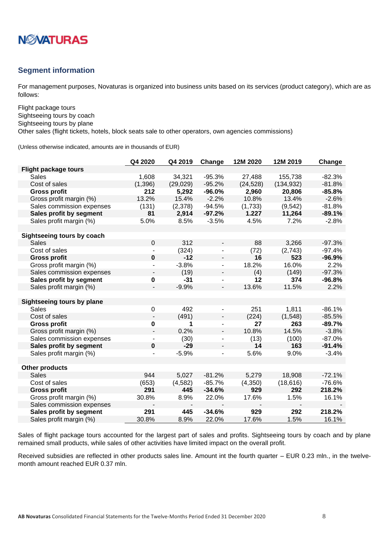

### <span id="page-7-0"></span>**Segment information**

For management purposes, Novaturas is organized into business units based on its services (product category), which are as follows:

Flight package tours Sightseeing tours by coach Sightseeing tours by plane

Other sales (flight tickets, hotels, block seats sale to other operators, own agencies commissions)

(Unless otherwise indicated, amounts are in thousands of EUR)

|                                   | Q4 2020                  | Q4 2019   | Change                   | 12M 2020  | 12M 2019   | Change   |
|-----------------------------------|--------------------------|-----------|--------------------------|-----------|------------|----------|
| <b>Flight package tours</b>       |                          |           |                          |           |            |          |
| <b>Sales</b>                      | 1,608                    | 34,321    | $-95.3%$                 | 27,488    | 155,738    | $-82.3%$ |
| Cost of sales                     | (1, 396)                 | (29, 029) | $-95.2%$                 | (24, 528) | (134, 932) | $-81.8%$ |
| <b>Gross profit</b>               | 212                      | 5,292     | $-96.0%$                 | 2,960     | 20,806     | $-85.8%$ |
| Gross profit margin (%)           | 13.2%                    | 15.4%     | $-2.2%$                  | 10.8%     | 13.4%      | $-2.6%$  |
| Sales commission expenses         | (131)                    | (2,378)   | $-94.5%$                 | (1,733)   | (9, 542)   | $-81.8%$ |
| Sales profit by segment           | 81                       | 2,914     | $-97.2%$                 | 1.227     | 11,264     | $-89.1%$ |
| Sales profit margin (%)           | 5.0%                     | 8.5%      | $-3.5%$                  | 4.5%      | 7.2%       | $-2.8%$  |
|                                   |                          |           |                          |           |            |          |
| Sightseeing tours by coach        |                          |           |                          |           |            |          |
| <b>Sales</b>                      | $\mathbf 0$              | 312       |                          | 88        | 3,266      | $-97.3%$ |
| Cost of sales                     |                          | (324)     | $\overline{\phantom{a}}$ | (72)      | (2,743)    | $-97.4%$ |
| <b>Gross profit</b>               | $\pmb{0}$                | $-12$     |                          | 16        | 523        | $-96.9%$ |
| Gross profit margin (%)           |                          | $-3.8%$   | $\blacksquare$           | 18.2%     | 16.0%      | 2.2%     |
| Sales commission expenses         |                          | (19)      | ۰.                       | (4)       | (149)      | $-97.3%$ |
| Sales profit by segment           | 0                        | $-31$     | $\overline{\phantom{a}}$ | 12        | 374        | $-96.8%$ |
| Sales profit margin (%)           | $\blacksquare$           | $-9.9%$   | $\overline{\phantom{a}}$ | 13.6%     | 11.5%      | 2.2%     |
|                                   |                          |           |                          |           |            |          |
| <b>Sightseeing tours by plane</b> |                          |           |                          |           |            |          |
| <b>Sales</b>                      | $\boldsymbol{0}$         | 492       | $\blacksquare$           | 251       | 1,811      | $-86.1%$ |
| Cost of sales                     | $\overline{\phantom{a}}$ | (491)     | $\overline{\phantom{a}}$ | (224)     | (1,548)    | $-85.5%$ |
| <b>Gross profit</b>               | 0                        | 1         |                          | 27        | 263        | $-89.7%$ |
| Gross profit margin (%)           |                          | 0.2%      | $\overline{\phantom{a}}$ | 10.8%     | 14.5%      | $-3.8%$  |
| Sales commission expenses         |                          | (30)      |                          | (13)      | (100)      | $-87.0%$ |
| Sales profit by segment           | 0                        | $-29$     |                          | 14        | 163        | $-91.4%$ |
| Sales profit margin (%)           |                          | $-5.9%$   |                          | 5.6%      | 9.0%       | $-3.4%$  |
|                                   |                          |           |                          |           |            |          |
| <b>Other products</b>             |                          |           |                          |           |            |          |
| <b>Sales</b>                      | 944                      | 5,027     | $-81.2%$                 | 5,279     | 18,908     | $-72.1%$ |
| Cost of sales                     | (653)                    | (4, 582)  | $-85.7%$                 | (4,350)   | (18, 616)  | $-76.6%$ |
| <b>Gross profit</b>               | 291                      | 445       | $-34.6%$                 | 929       | 292        | 218.2%   |
| Gross profit margin (%)           | 30.8%                    | 8.9%      | 22.0%                    | 17.6%     | 1.5%       | 16.1%    |
| Sales commission expenses         |                          |           |                          |           |            |          |
| Sales profit by segment           | 291                      | 445       | $-34.6%$                 | 929       | 292        | 218.2%   |
| Sales profit margin (%)           | 30.8%                    | 8.9%      | 22.0%                    | 17.6%     | 1.5%       | 16.1%    |

Sales of flight package tours accounted for the largest part of sales and profits. Sightseeing tours by coach and by plane remained small products, while sales of other activities have limited impact on the overall profit.

Received subsidies are reflected in other products sales line. Amount int the fourth quarter – EUR 0.23 mln., in the twelvemonth amount reached EUR 0.37 mln.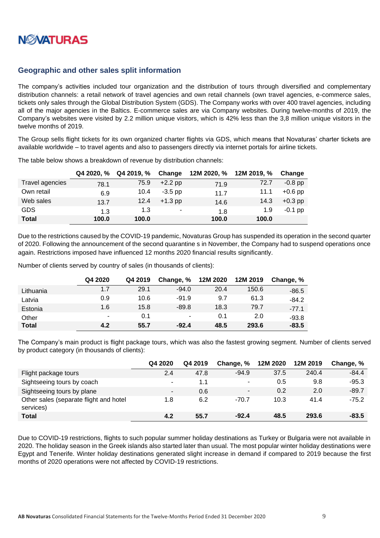

### <span id="page-8-0"></span>**Geographic and other sales split information**

The company's activities included tour organization and the distribution of tours through diversified and complementary distribution channels: a retail network of travel agencies and own retail channels (own travel agencies, e-commerce sales, tickets only sales through the Global Distribution System (GDS). The Company works with over 400 travel agencies, including all of the major agencies in the Baltics. E-commerce sales are via Company websites. During twelve-months of 2019, the Company's websites were visited by 2.2 million unique visitors, which is 42% less than the 3,8 million unique visitors in the twelve months of 2019.

The Group sells flight tickets for its own organized charter flights via GDS, which means that Novaturas' charter tickets are available worldwide – to travel agents and also to passengers directly via internet portals for airline tickets.

|                 | Q4 2020, % | Q4 2019, % | Change    |       | 12M 2020, % 12M 2019, % | Change    |
|-----------------|------------|------------|-----------|-------|-------------------------|-----------|
| Travel agencies | 78.1       | 75.9       | $+2.2$ pp | 71.9  | 72.7                    | $-0.8$ pp |
| Own retail      | 6.9        | 10.4       | $-3.5$ pp | 11.7  | 11.1                    | $+0.6$ pp |
| Web sales       | 13.7       | 12.4       | $+1.3$ pp | 14.6  | 14.3                    | $+0.3$ pp |
| <b>GDS</b>      | 1.3        | 1.3        | ۰         | 1.8   | 1.9                     | $-0.1$ pp |
| <b>Total</b>    | 100.0      | 100.0      |           | 100.0 | 100.0                   |           |

The table below shows a breakdown of revenue by distribution channels:

Due to the restrictions caused by the COVID-19 pandemic, Novaturas Group has suspended its operation in the second quarter of 2020. Following the announcement of the second quarantine s in November, the Company had to suspend operations once again. Restrictions imposed have influenced 12 months 2020 financial results significantly.

Number of clients served by country of sales (in thousands of clients):

|              | Q4 2020 | Q4 2019 | Change, %      | 12M 2020 | 12M 2019 | Change, % |
|--------------|---------|---------|----------------|----------|----------|-----------|
| Lithuania    | 1.7     | 29.1    | $-94.0$        | 20.4     | 150.6    | $-86.5$   |
| Latvia       | 0.9     | 10.6    | $-91.9$        | 9.7      | 61.3     | $-84.2$   |
| Estonia      | 1.6     | 15.8    | $-89.8$        | 18.3     | 79.7     | $-77.1$   |
| Other        | ۰       | 0.1     | $\blacksquare$ | 0.1      | 2.0      | $-93.8$   |
| <b>Total</b> | 4.2     | 55.7    | $-92.4$        | 48.5     | 293.6    | $-83.5$   |

The Company's main product is flight package tours, which was also the fastest growing segment. Number of clients served by product category (in thousands of clients):

|                                                     | Q4 2020        | Q4 2019 | Change, %      | 12M 2020 | 12M 2019 | Change, % |
|-----------------------------------------------------|----------------|---------|----------------|----------|----------|-----------|
| Flight package tours                                | 2.4            | 47.8    | $-94.9$        | 37.5     | 240.4    | $-84.4$   |
| Sightseeing tours by coach                          | $\sim$         | 1.1     | ۰              | 0.5      | 9.8      | $-95.3$   |
| Sightseeing tours by plane                          | $\blacksquare$ | 0.6     | $\blacksquare$ | 0.2      | 2.0      | $-89.7$   |
| Other sales (separate flight and hotel<br>services) | 1.8            | 6.2     | $-70.7$        | 10.3     | 41.4     | $-75.2$   |
| <b>Total</b>                                        | 4.2            | 55.7    | $-92.4$        | 48.5     | 293.6    | $-83.5$   |

Due to COVID-19 restrictions, flights to such popular summer holiday destinations as Turkey or Bulgaria were not available in 2020. The holiday season in the Greek islands also started later than usual. The most popular winter holiday destinations were Egypt and Tenerife. Winter holiday destinations generated slight increase in demand if compared to 2019 because the first months of 2020 operations were not affected by COVID-19 restrictions.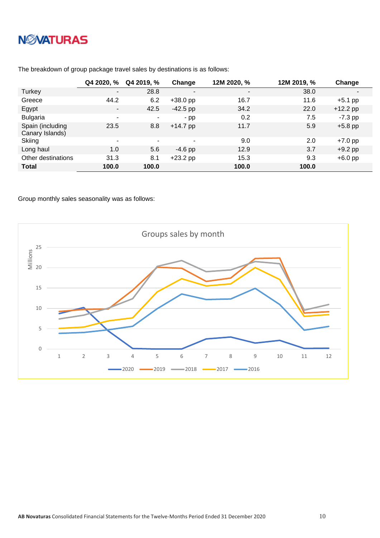# **NWATURAS**

|                                     | Q4 2020, %               | Q4 2019, % | Change     | 12M 2020, % | 12M 2019, % | Change     |
|-------------------------------------|--------------------------|------------|------------|-------------|-------------|------------|
| Turkey                              | $\overline{\phantom{a}}$ | 28.8       | -          | ۰           | 38.0        | ٠          |
| Greece                              | 44.2                     | 6.2        | $+38.0$ pp | 16.7        | 11.6        | $+5.1$ pp  |
| Egypt                               | $\blacksquare$           | 42.5       | $-42.5$ pp | 34.2        | 22.0        | $+12.2$ pp |
| <b>Bulgaria</b>                     | $\tilde{\phantom{a}}$    | $\sim$     | $-pp$      | 0.2         | 7.5         | $-7.3$ pp  |
| Spain (including<br>Canary Islands) | 23.5                     | 8.8        | $+14.7$ pp | 11.7        | 5.9         | $+5.8$ pp  |
| Skiing                              | ۰                        | $\sim$     | ٠          | 9.0         | 2.0         | $+7.0$ pp  |
| Long haul                           | 1.0                      | 5.6        | $-4.6$ pp  | 12.9        | 3.7         | $+9.2$ pp  |
| Other destinations                  | 31.3                     | 8.1        | $+23.2$ pp | 15.3        | 9.3         | $+6.0$ pp  |
| <b>Total</b>                        | 100.0                    | 100.0      |            | 100.0       | 100.0       |            |

The breakdown of group package travel sales by destinations is as follows:

Group monthly sales seasonality was as follows:

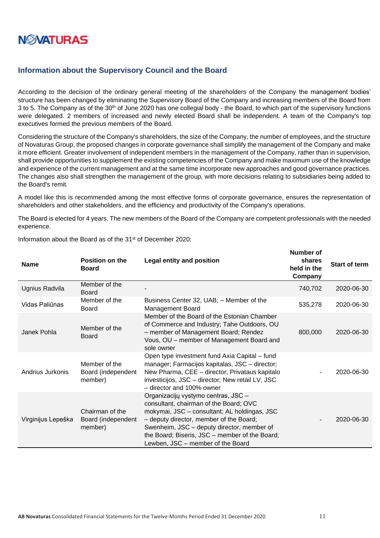

#### <span id="page-10-0"></span>**Information about the Supervisory Council and the Board**

According to the decision of the ordinary general meeting of the shareholders of the Company the management bodies' structure has been changed by eliminating the Supervisory Board of the Company and increasing members of the Board from 3 to 5. The Company as of the 30<sup>th</sup> of June 2020 has one collegial body - the Board, to which part of the supervisory functions were delegated. 2 members of increased and newly elected Board shall be independent. A team of the Company's top executives formed the previous members of the Board.

Considering the structure of the Company's shareholders, the size of the Company, the number of employees, and the structure of Novaturas Group, the proposed changes in corporate governance shall simplify the management of the Company and make it more efficient. Greater involvement of independent members in the management of the Company, rather than in supervision, shall provide opportunities to supplement the existing competencies of the Company and make maximum use of the knowledge and experience of the current management and at the same time incorporate new approaches and good governance practices. The changes also shall strengthen the management of the group, with more decisions relating to subsidiaries being added to the Board's remit.

A model like this is recommended among the most effective forms of corporate governance, ensures the representation of shareholders and other stakeholders, and the efficiency and productivity of the Company's operations.

The Board is elected for 4 years. The new members of the Board of the Company are competent professionals with the needed experience.

| <b>Name</b>        | Position on the<br><b>Board</b>                  | Legal entity and position                                                                                                                                                                                                                                                                                     | shares<br>held in the<br>Company | Start of term |
|--------------------|--------------------------------------------------|---------------------------------------------------------------------------------------------------------------------------------------------------------------------------------------------------------------------------------------------------------------------------------------------------------------|----------------------------------|---------------|
| Ugnius Radvila     | Member of the<br><b>Board</b>                    |                                                                                                                                                                                                                                                                                                               | 740,702                          | 2020-06-30    |
| Vidas Paliūnas     | Member of the<br>Board                           | Business Center 32, UAB; - Member of the<br><b>Management Board</b>                                                                                                                                                                                                                                           | 535,278                          | 2020-06-30    |
| Janek Pohla        | Member of the<br><b>Board</b>                    | Member of the Board of the Estonian Chamber<br>of Commerce and Industry; Tahe Outdoors, OU<br>- member of Management Board; Rendez<br>Vous, OU - member of Management Board and<br>sole owner                                                                                                                 | 800,000                          | 2020-06-30    |
| Andrius Jurkonis   | Member of the<br>Board (independent<br>member)   | Open type investment fund Axia Capital – fund<br>manager; Farmacijos kapitalas, JSC - director;<br>New Pharma, CEE - director; Privataus kapitalo<br>investicijos, JSC - director; New retail LV, JSC<br>- director and 100% owner                                                                            |                                  | 2020-06-30    |
| Virginijus Lepeška | Chairman of the<br>Board (independent<br>member) | Organizacijų vystymo centras, JSC -<br>consultant, chairman of the Board; OVC<br>mokymai, JSC - consultant; AL holdingas, JSC<br>- deputy director, member of the Board;<br>Swenheim, JSC - deputy director, member of<br>the Board; Biseris, JSC - member of the Board;<br>Lewben, JSC - member of the Board |                                  | 2020-06-30    |

Information about the Board as of the 31<sup>st</sup> of December 2020:

**Number of**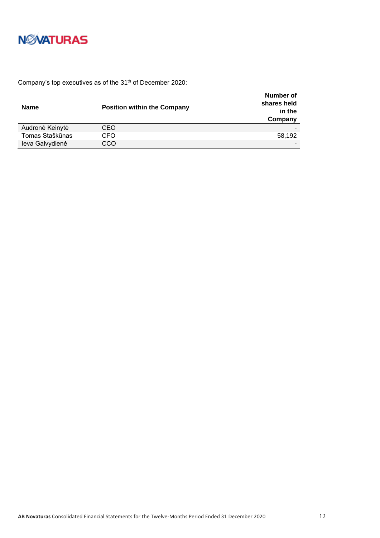

Company's top executives as of the 31<sup>th</sup> of December 2020:

| <b>Name</b>     | <b>Position within the Company</b> | Number of<br>shares held<br>in the<br>Company |
|-----------------|------------------------------------|-----------------------------------------------|
| Audronė Keinytė | CEO                                |                                               |
| Tomas Staškūnas | CFO                                | 58,192                                        |
| leva Galvydienė | CCO                                |                                               |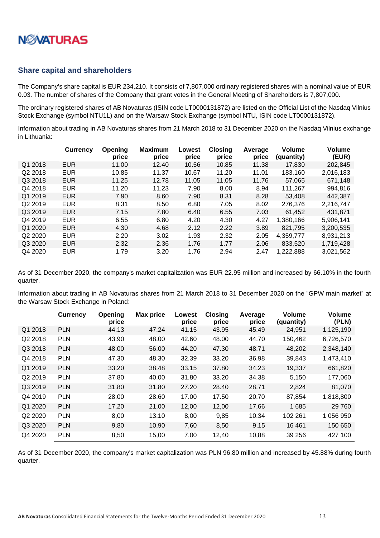

#### <span id="page-12-0"></span>**Share capital and shareholders**

The Company's share capital is EUR 234,210. It consists of 7,807,000 ordinary registered shares with a nominal value of EUR 0.03. The number of shares of the Company that grant votes in the General Meeting of Shareholders is 7,807,000.

The ordinary registered shares of AB Novaturas (ISIN code LT0000131872) are listed on the Official List of the Nasdaq Vilnius Stock Exchange (symbol NTU1L) and on the Warsaw Stock Exchange (symbol NTU, ISIN code LT0000131872).

Information about trading in AB Novaturas shares from 21 March 2018 to 31 December 2020 on the Nasdaq Vilnius exchange in Lithuania:

|         | <b>Currency</b> | Opening<br>price | <b>Maximum</b><br>price | Lowest<br>price | <b>Closing</b><br>price | Average<br>price | <b>Volume</b><br>(quantity) | <b>Volume</b><br>(EUR) |
|---------|-----------------|------------------|-------------------------|-----------------|-------------------------|------------------|-----------------------------|------------------------|
| Q1 2018 | <b>EUR</b>      | 11.00            | 12.40                   | 10.56           | 10.85                   | 11.38            | 17,830                      | 202,845                |
| Q2 2018 | <b>EUR</b>      | 10.85            | 11.37                   | 10.67           | 11.20                   | 11.01            | 183,160                     | 2,016,183              |
| Q3 2018 | <b>EUR</b>      | 11.25            | 12.78                   | 11.05           | 11.05                   | 11.76            | 57,065                      | 671,148                |
| Q4 2018 | <b>EUR</b>      | 11.20            | 11.23                   | 7.90            | 8.00                    | 8.94             | 111,267                     | 994,816                |
| Q1 2019 | <b>EUR</b>      | 7.90             | 8.60                    | 7.90            | 8.31                    | 8.28             | 53.408                      | 442,387                |
| Q2 2019 | <b>EUR</b>      | 8.31             | 8.50                    | 6.80            | 7.05                    | 8.02             | 276,376                     | 2,216,747              |
| Q3 2019 | <b>EUR</b>      | 7.15             | 7.80                    | 6.40            | 6.55                    | 7.03             | 61,452                      | 431,871                |
| Q4 2019 | <b>EUR</b>      | 6.55             | 6.80                    | 4.20            | 4.30                    | 4.27             | 1.380.166                   | 5,906,141              |
| Q1 2020 | <b>EUR</b>      | 4.30             | 4.68                    | 2.12            | 2.22                    | 3.89             | 821,795                     | 3,200,535              |
| Q2 2020 | <b>EUR</b>      | 2.20             | 3.02                    | 1.93            | 2.32                    | 2.05             | 4,359,777                   | 8,931,213              |
| Q3 2020 | <b>EUR</b>      | 2.32             | 2.36                    | 1.76            | 1.77                    | 2.06             | 833.520                     | 1.719.428              |
| Q4 2020 | <b>EUR</b>      | 1.79             | 3.20                    | 1.76            | 2.94                    | 2.47             | 1,222,888                   | 3.021.562              |

As of 31 December 2020, the company's market capitalization was EUR 22.95 million and increased by 66.10% in the fourth quarter.

Information about trading in AB Novaturas shares from 21 March 2018 to 31 December 2020 on the "GPW main market" at the Warsaw Stock Exchange in Poland:

|         | <b>Currency</b> | Opening<br>price | <b>Max price</b> | Lowest<br>price | <b>Closing</b><br>price | Average<br>price | <b>Volume</b><br>(quantity) | Volume<br>(PLN) |
|---------|-----------------|------------------|------------------|-----------------|-------------------------|------------------|-----------------------------|-----------------|
| Q1 2018 | <b>PLN</b>      | 44.13            | 47.24            | 41.15           | 43.95                   | 45.49            | 24,951                      | 1,125,190       |
| Q2 2018 | <b>PLN</b>      | 43.90            | 48.00            | 42.60           | 48.00                   | 44.70            | 150,462                     | 6,726,570       |
| Q3 2018 | <b>PLN</b>      | 48.00            | 56.00            | 44.20           | 47.30                   | 48.71            | 48,202                      | 2,348,140       |
| Q4 2018 | <b>PLN</b>      | 47.30            | 48.30            | 32.39           | 33.20                   | 36.98            | 39,843                      | 1,473,410       |
| Q1 2019 | <b>PLN</b>      | 33.20            | 38.48            | 33.15           | 37.80                   | 34.23            | 19,337                      | 661,820         |
| Q2 2019 | <b>PLN</b>      | 37.80            | 40.00            | 31.80           | 33.20                   | 34.38            | 5,150                       | 177,060         |
| Q3 2019 | <b>PLN</b>      | 31.80            | 31.80            | 27.20           | 28.40                   | 28.71            | 2,824                       | 81,070          |
| Q4 2019 | <b>PLN</b>      | 28.00            | 28.60            | 17.00           | 17.50                   | 20.70            | 87,854                      | 1,818,800       |
| Q1 2020 | <b>PLN</b>      | 17,20            | 21,00            | 12,00           | 12,00                   | 17,66            | 1685                        | 29 760          |
| Q2 2020 | <b>PLN</b>      | 8,00             | 13,10            | 8,00            | 9,85                    | 10,34            | 102 261                     | 1 056 950       |
| Q3 2020 | <b>PLN</b>      | 9,80             | 10,90            | 7,60            | 8,50                    | 9,15             | 16 4 61                     | 150 650         |
| Q4 2020 | <b>PLN</b>      | 8,50             | 15,00            | 7,00            | 12,40                   | 10.88            | 39 25 6                     | 427 100         |

As of 31 December 2020, the company's market capitalization was PLN 96.80 million and increased by 45.88% during fourth quarter.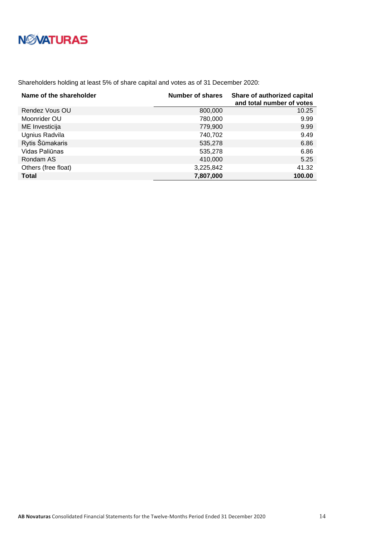Shareholders holding at least 5% of share capital and votes as of 31 December 2020:

| Name of the shareholder | Number of shares | Share of authorized capital<br>and total number of votes |
|-------------------------|------------------|----------------------------------------------------------|
| Rendez Vous OU          | 800,000          | 10.25                                                    |
| Moonrider OU            | 780,000          | 9.99                                                     |
| ME Investicija          | 779,900          | 9.99                                                     |
| Ugnius Radvila          | 740,702          | 9.49                                                     |
| Rytis Šūmakaris         | 535,278          | 6.86                                                     |
| Vidas Paliūnas          | 535,278          | 6.86                                                     |
| Rondam AS               | 410,000          | 5.25                                                     |
| Others (free float)     | 3,225,842        | 41.32                                                    |
| <b>Total</b>            | 7,807,000        | 100.00                                                   |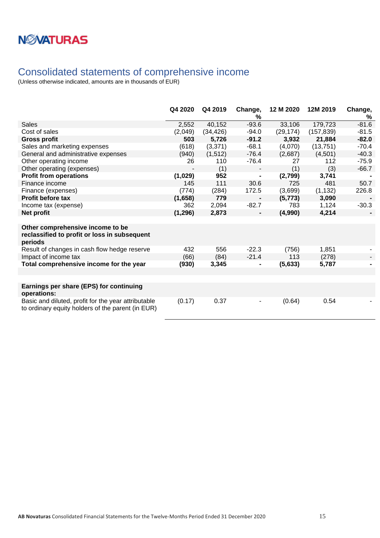### <span id="page-14-0"></span>Consolidated statements of comprehensive income

|                                                                                                          | Q4 2020  | Q4 2019   | Change,<br>%   | 12 M 2020 | 12M 2019   | Change,<br>% |
|----------------------------------------------------------------------------------------------------------|----------|-----------|----------------|-----------|------------|--------------|
| <b>Sales</b>                                                                                             | 2,552    | 40,152    | $-93.6$        | 33,106    | 179,723    | $-81.6$      |
| Cost of sales                                                                                            | (2,049)  | (34, 426) | $-94.0$        | (29, 174) | (157, 839) | $-81.5$      |
| <b>Gross profit</b>                                                                                      | 503      | 5,726     | $-91.2$        | 3,932     | 21,884     | $-82.0$      |
| Sales and marketing expenses                                                                             | (618)    | (3,371)   | $-68.1$        | (4,070)   | (13,751)   | $-70.4$      |
| General and administrative expenses                                                                      | (940)    | (1, 512)  | $-76.4$        | (2,687)   | (4,501)    | $-40.3$      |
| Other operating income                                                                                   | 26       | 110       | $-76.4$        | 27        | 112        | $-75.9$      |
| Other operating (expenses)                                                                               |          | (1)       |                | (1)       | (3)        | $-66.7$      |
| <b>Profit from operations</b>                                                                            | (1,029)  | 952       | $\blacksquare$ | (2,799)   | 3,741      |              |
| Finance income                                                                                           | 145      | 111       | 30.6           | 725       | 481        | 50.7         |
| Finance (expenses)                                                                                       | (774)    | (284)     | 172.5          | (3,699)   | (1, 132)   | 226.8        |
| <b>Profit before tax</b>                                                                                 | (1,658)  | 779       | $\blacksquare$ | (5, 773)  | 3,090      |              |
| Income tax (expense)                                                                                     | 362      | 2,094     | $-82.7$        | 783       | 1,124      | $-30.3$      |
| Net profit                                                                                               | (1, 296) | 2,873     |                | (4,990)   | 4,214      |              |
|                                                                                                          |          |           |                |           |            |              |
| Other comprehensive income to be<br>reclassified to profit or loss in subsequent<br>periods              |          |           |                |           |            |              |
| Result of changes in cash flow hedge reserve                                                             | 432      | 556       | $-22.3$        | (756)     | 1,851      |              |
| Impact of income tax                                                                                     | (66)     | (84)      | $-21.4$        | 113       | (278)      |              |
| Total comprehensive income for the year                                                                  | (930)    | 3,345     |                | (5,633)   | 5,787      |              |
|                                                                                                          |          |           |                |           |            |              |
|                                                                                                          |          |           |                |           |            |              |
| Earnings per share (EPS) for continuing<br>operations:                                                   |          |           |                |           |            |              |
| Basic and diluted, profit for the year attributable<br>to ordinary equity holders of the parent (in EUR) | (0.17)   | 0.37      |                | (0.64)    | 0.54       |              |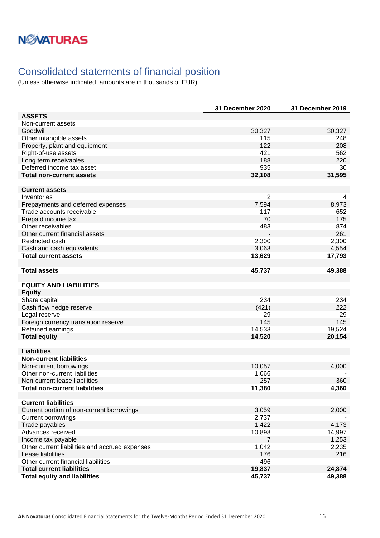## <span id="page-15-0"></span>Consolidated statements of financial position

|                                                          | 31 December 2020        | <b>31 December 2019</b> |
|----------------------------------------------------------|-------------------------|-------------------------|
| <b>ASSETS</b>                                            |                         |                         |
| Non-current assets                                       |                         |                         |
| Goodwill                                                 | 30,327                  | 30,327                  |
| Other intangible assets                                  | 115                     | 248                     |
| Property, plant and equipment                            | 122                     | 208                     |
| Right-of-use assets                                      | 421                     | 562                     |
| Long term receivables                                    | 188                     | 220                     |
| Deferred income tax asset                                | 935                     | 30                      |
| <b>Total non-current assets</b>                          | 32,108                  | 31,595                  |
|                                                          |                         |                         |
| <b>Current assets</b>                                    |                         |                         |
| Inventories                                              | $\overline{2}$          | 4                       |
| Prepayments and deferred expenses                        | 7,594                   | 8,973                   |
| Trade accounts receivable                                | 117                     | 652                     |
| Prepaid income tax                                       | 70                      | 175                     |
| Other receivables                                        | 483                     | 874                     |
| Other current financial assets                           |                         | 261                     |
| Restricted cash                                          | 2,300                   | 2,300                   |
| Cash and cash equivalents                                | 3,063                   | 4,554                   |
| <b>Total current assets</b>                              | 13,629                  | 17,793                  |
|                                                          |                         |                         |
| <b>Total assets</b>                                      | 45,737                  | 49,388                  |
|                                                          |                         |                         |
| <b>EQUITY AND LIABILITIES</b>                            |                         |                         |
| <b>Equity</b>                                            |                         |                         |
| Share capital                                            | 234                     | 234                     |
| Cash flow hedge reserve                                  | (421)                   | 222                     |
| Legal reserve                                            | 29                      | 29                      |
| Foreign currency translation reserve                     | 145                     | 145                     |
| Retained earnings                                        | 14,533                  | 19,524                  |
| <b>Total equity</b>                                      | 14,520                  | 20,154                  |
|                                                          |                         |                         |
| <b>Liabilities</b>                                       |                         |                         |
| <b>Non-current liabilities</b>                           |                         |                         |
| Non-current borrowings                                   | 10,057                  | 4,000                   |
| Other non-current liabilities                            | 1,066                   |                         |
| Non-current lease liabilities                            | 257                     | 360                     |
| <b>Total non-current liabilities</b>                     | 11,380                  | 4,360                   |
| <b>Current liabilities</b>                               |                         |                         |
|                                                          |                         |                         |
| Current portion of non-current borrowings                | 3,059<br>2,737          | 2,000                   |
| <b>Current borrowings</b><br>Trade payables              | 1,422                   | 4,173                   |
| Advances received                                        |                         |                         |
|                                                          | 10,898                  | 14,997                  |
| Income tax payable                                       | $\overline{7}$<br>1,042 | 1,253<br>2,235          |
| Other current liabilities and accrued expenses           |                         |                         |
| Lease liabilities<br>Other current financial liabilities | 176<br>496              | 216                     |
| <b>Total current liabilities</b>                         | 19,837                  | 24,874                  |
|                                                          |                         |                         |
| <b>Total equity and liabilities</b>                      | 45,737                  | 49,388                  |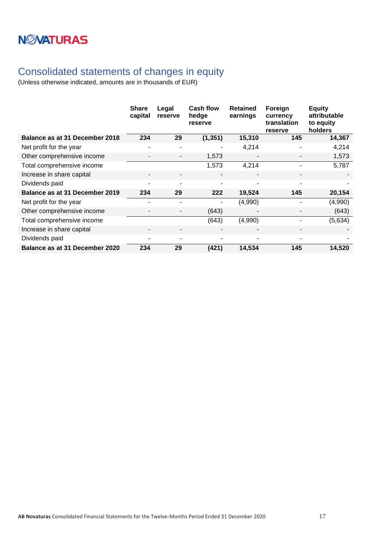# **NWATURAS**

## <span id="page-16-0"></span>Consolidated statements of changes in equity

|                                | <b>Share</b><br>capital  | Legal<br>reserve         | Cash flow<br>hedge<br>reserve | <b>Retained</b><br>earnings | Foreign<br>currency<br>translation<br>reserve | <b>Equity</b><br>attributable<br>to equity<br>holders |
|--------------------------------|--------------------------|--------------------------|-------------------------------|-----------------------------|-----------------------------------------------|-------------------------------------------------------|
| Balance as at 31 December 2018 | 234                      | 29                       | (1, 351)                      | 15,310                      | 145                                           | 14,367                                                |
| Net profit for the year        | ۰                        | ۰                        |                               | 4,214                       |                                               | 4,214                                                 |
| Other comprehensive income     | $\overline{\phantom{a}}$ | -                        | 1,573                         | $\overline{\phantom{0}}$    |                                               | 1,573                                                 |
| Total comprehensive income     |                          |                          | 1,573                         | 4,214                       |                                               | 5,787                                                 |
| Increase in share capital      |                          | $\overline{\phantom{a}}$ | $\overline{\phantom{a}}$      |                             |                                               |                                                       |
| Dividends paid                 | $\blacksquare$           | ۰.                       | ٠                             | $\overline{\phantom{a}}$    | $\overline{\phantom{a}}$                      |                                                       |
| Balance as at 31 December 2019 | 234                      | 29                       | 222                           | 19,524                      | 145                                           | 20,154                                                |
| Net profit for the year        |                          |                          |                               | (4,990)                     |                                               | (4,990)                                               |
| Other comprehensive income     |                          |                          | (643)                         |                             |                                               | (643)                                                 |
| Total comprehensive income     |                          |                          | (643)                         | (4,990)                     |                                               | (5,634)                                               |
| Increase in share capital      |                          | $\overline{\phantom{a}}$ | $\blacksquare$                | ٠                           |                                               |                                                       |
| Dividends paid                 | ٠                        | ۰                        | ٠                             | ٠                           |                                               |                                                       |
| Balance as at 31 December 2020 | 234                      | 29                       | (421)                         | 14,534                      | 145                                           | 14,520                                                |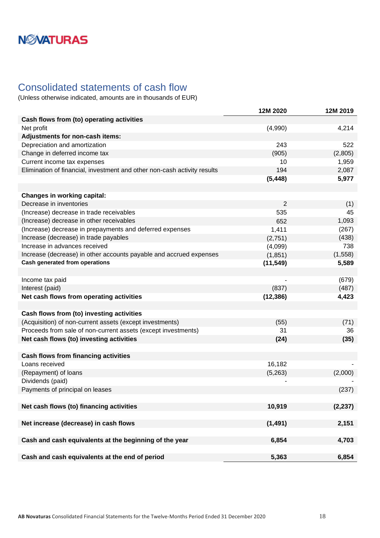### <span id="page-17-0"></span>Consolidated statements of cash flow

|                                                                          | 12M 2020       | 12M 2019 |
|--------------------------------------------------------------------------|----------------|----------|
| Cash flows from (to) operating activities                                |                |          |
| Net profit                                                               | (4,990)        | 4,214    |
| Adjustments for non-cash items:                                          |                |          |
| Depreciation and amortization                                            | 243            | 522      |
| Change in deferred income tax                                            | (905)          | (2,805)  |
| Current income tax expenses                                              | 10             | 1,959    |
| Elimination of financial, investment and other non-cash activity results | 194            | 2,087    |
|                                                                          | (5, 448)       | 5,977    |
|                                                                          |                |          |
| <b>Changes in working capital:</b>                                       |                |          |
| Decrease in inventories                                                  | $\overline{2}$ | (1)      |
| (Increase) decrease in trade receivables                                 | 535            | 45       |
| (Increase) decrease in other receivables                                 | 652            | 1,093    |
| (Increase) decrease in prepayments and deferred expenses                 | 1,411          | (267)    |
| Increase (decrease) in trade payables                                    | (2,751)        | (438)    |
| Increase in advances received                                            | (4,099)        | 738      |
| Increase (decrease) in other accounts payable and accrued expenses       | (1,851)        | (1,558)  |
| <b>Cash generated from operations</b>                                    | (11, 549)      | 5,589    |
|                                                                          |                |          |
| Income tax paid                                                          |                | (679)    |
| Interest (paid)                                                          | (837)          | (487)    |
| Net cash flows from operating activities                                 | (12, 386)      | 4,423    |
|                                                                          |                |          |
| Cash flows from (to) investing activities                                |                |          |
| (Acquisition) of non-current assets (except investments)                 | (55)           | (71)     |
| Proceeds from sale of non-current assets (except investments)            | 31             | 36       |
| Net cash flows (to) investing activities                                 | (24)           | (35)     |
|                                                                          |                |          |
| <b>Cash flows from financing activities</b>                              |                |          |
| Loans received                                                           | 16,182         |          |
| (Repayment) of loans                                                     | (5,263)        | (2,000)  |
| Dividends (paid)                                                         |                |          |
| Payments of principal on leases                                          |                | (237)    |
|                                                                          |                |          |
| Net cash flows (to) financing activities                                 | 10,919         | (2, 237) |
|                                                                          |                |          |
| Net increase (decrease) in cash flows                                    | (1,491)        | 2,151    |
|                                                                          |                |          |
| Cash and cash equivalents at the beginning of the year                   | 6,854          | 4,703    |
|                                                                          |                |          |
| Cash and cash equivalents at the end of period                           | 5,363          | 6,854    |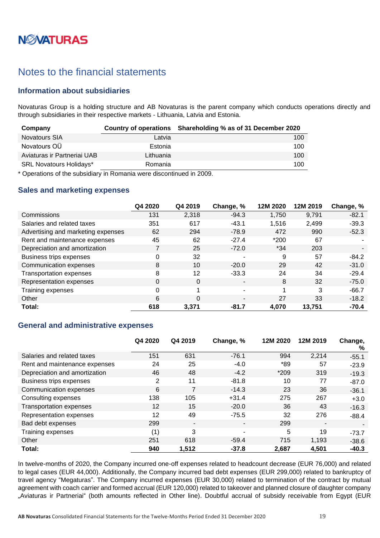# **NØVATURAS**

## <span id="page-18-0"></span>Notes to the financial statements

### <span id="page-18-1"></span>**Information about subsidiaries**

Novaturas Group is a holding structure and AB Novaturas is the parent company which conducts operations directly and through subsidiaries in their respective markets - Lithuania, Latvia and Estonia.

| Company                        |           | Country of operations Shareholding % as of 31 December 2020 |
|--------------------------------|-----------|-------------------------------------------------------------|
| Novatours SIA                  | Latvia    | 100                                                         |
| Novatours OU                   | Estonia   | 100                                                         |
| Aviaturas ir Partneriai UAB    | Lithuania | 100                                                         |
| <b>SRL Novatours Holidays*</b> | Romania   | 100                                                         |

\* Operations of the subsidiary in Romania were discontinued in 2009.

### <span id="page-18-2"></span>**Sales and marketing expenses**

|                                    | Q4 2020 | Q4 2019  | Change, %      | 12M 2020 | 12M 2019 | Change, % |
|------------------------------------|---------|----------|----------------|----------|----------|-----------|
| Commissions                        | 131     | 2,318    | $-94.3$        | 1.750    | 9,791    | $-82.1$   |
| Salaries and related taxes         | 351     | 617      | $-43.1$        | 1,516    | 2,499    | $-39.3$   |
| Advertising and marketing expenses | 62      | 294      | $-78.9$        | 472      | 990      | $-52.3$   |
| Rent and maintenance expenses      | 45      | 62       | $-27.4$        | $*200$   | 67       |           |
| Depreciation and amortization      |         | 25       | $-72.0$        | $*34$    | 203      |           |
| Business trips expenses            | 0       | 32       | $\blacksquare$ | 9        | 57       | $-84.2$   |
| Communication expenses             | 8       | 10       | $-20.0$        | 29       | 42       | $-31.0$   |
| <b>Transportation expenses</b>     | 8       | 12       | $-33.3$        | 24       | 34       | $-29.4$   |
| Representation expenses            | 0       | $\Omega$ | $\blacksquare$ | 8        | 32       | $-75.0$   |
| Training expenses                  | 0       |          | ۰              |          | 3        | $-66.7$   |
| Other                              | 6       | $\Omega$ | $\blacksquare$ | 27       | 33       | $-18.2$   |
| Total:                             | 618     | 3,371    | $-81.7$        | 4.070    | 13,751   | $-70.4$   |

#### <span id="page-18-3"></span>**General and administrative expenses**

|                                | Q4 2020         | Q4 2019                  | Change, %      | 12M 2020 | 12M 2019                 | Change,<br>% |
|--------------------------------|-----------------|--------------------------|----------------|----------|--------------------------|--------------|
| Salaries and related taxes     | 151             | 631                      | $-76.1$        | 994      | 2,214                    | $-55.1$      |
| Rent and maintenance expenses  | 24              | 25                       | $-4.0$         | *89      | 57                       | $-23.9$      |
| Depreciation and amortization  | 46              | 48                       | $-4.2$         | $*209$   | 319                      | $-19.3$      |
| <b>Business trips expenses</b> | 2               | 11                       | $-81.8$        | 10       | 77                       | $-87.0$      |
| Communication expenses         | 6               |                          | $-14.3$        | 23       | 36                       | $-36.1$      |
| Consulting expenses            | 138             | 105                      | $+31.4$        | 275      | 267                      | $+3.0$       |
| <b>Transportation expenses</b> | 12              | 15                       | $-20.0$        | 36       | 43                       | $-16.3$      |
| Representation expenses        | 12 <sup>2</sup> | 49                       | $-75.5$        | 32       | 276                      | $-88.4$      |
| Bad debt expenses              | 299             | $\overline{\phantom{a}}$ | $\blacksquare$ | 299      | $\overline{\phantom{a}}$ |              |
| Training expenses              | (1)             | 3                        | ۰              | 5        | 19                       | $-73.7$      |
| Other                          | 251             | 618                      | $-59.4$        | 715      | 1,193                    | $-38.6$      |
| Total:                         | 940             | 1,512                    | $-37.8$        | 2.687    | 4,501                    | $-40.3$      |

In twelve-months of 2020, the Company incurred one-off expenses related to headcount decrease (EUR 76,000) and related to legal cases (EUR 44,000). Additionally, the Company incurred bad debt expenses (EUR 299,000) related to bankruptcy of travel agency "Megaturas". The Company incurred expenses (EUR 30,000) related to termination of the contract by mutual agreement with coach carrier and formed accrual (EUR 120,000) related to takeover and planned closure of daughter company "Aviaturas ir Partneriai" (both amounts reflected in Other line). Doubtful accrual of subsidy receivable from Egypt (EUR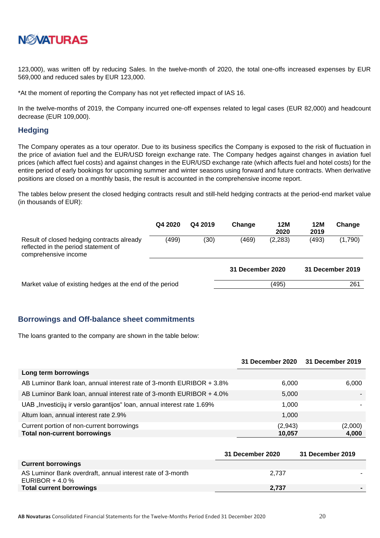

123,000), was written off by reducing Sales. In the twelve-month of 2020, the total one-offs increased expenses by EUR 569,000 and reduced sales by EUR 123,000.

\*At the moment of reporting the Company has not yet reflected impact of IAS 16.

In the twelve-months of 2019, the Company incurred one-off expenses related to legal cases (EUR 82,000) and headcount decrease (EUR 109,000).

#### <span id="page-19-0"></span>**Hedging**

The Company operates as a tour operator. Due to its business specifics the Company is exposed to the risk of fluctuation in the price of aviation fuel and the EUR/USD foreign exchange rate. The Company hedges against changes in aviation fuel prices (which affect fuel costs) and against changes in the EUR/USD exchange rate (which affects fuel and hotel costs) for the entire period of early bookings for upcoming summer and winter seasons using forward and future contracts. When derivative positions are closed on a monthly basis, the result is accounted in the comprehensive income report.

The tables below present the closed hedging contracts result and still-held hedging contracts at the period-end market value (in thousands of EUR):

|                                                                                                            | Q4 2020 | Q4 2019 | Change           | 12M<br>2020 | 12M<br>2019 | Change           |
|------------------------------------------------------------------------------------------------------------|---------|---------|------------------|-------------|-------------|------------------|
| Result of closed hedging contracts already<br>reflected in the period statement of<br>comprehensive income | (499)   | (30)    | (469)            | (2, 283)    | (493)       | (1,790)          |
|                                                                                                            |         |         | 31 December 2020 |             |             | 31 December 2019 |
| Market value of existing hedges at the end of the period                                                   |         |         |                  | (495)       |             | 261              |

#### <span id="page-19-1"></span>**Borrowings and Off-balance sheet commitments**

The loans granted to the company are shown in the table below:

|                                                                         | 31 December 2020 31 December 2019 |         |
|-------------------------------------------------------------------------|-----------------------------------|---------|
| Long term borrowings                                                    |                                   |         |
| AB Luminor Bank loan, annual interest rate of 3-month EURIBOR + 3.8%    | 6.000                             | 6,000   |
| AB Luminor Bank Ioan, annual interest rate of 3-month EURIBOR + 4.0%    | 5,000                             |         |
| UAB "Investicijų ir verslo garantijos" Ioan, annual interest rate 1.69% | 1.000                             |         |
| Altum Ioan, annual interest rate 2.9%                                   | 1.000                             |         |
| Current portion of non-current borrowings                               | (2,943)                           | (2,000) |
| <b>Total non-current borrowings</b>                                     | 10,057                            | 4,000   |

|                                                                                 | <b>31 December 2020</b> | 31 December 2019 |
|---------------------------------------------------------------------------------|-------------------------|------------------|
| <b>Current borrowings</b>                                                       |                         |                  |
| AS Luminor Bank overdraft, annual interest rate of 3-month<br>EURIBOR + 4.0 $%$ | 2.737                   |                  |
| <b>Total current borrowings</b>                                                 | 2.737                   |                  |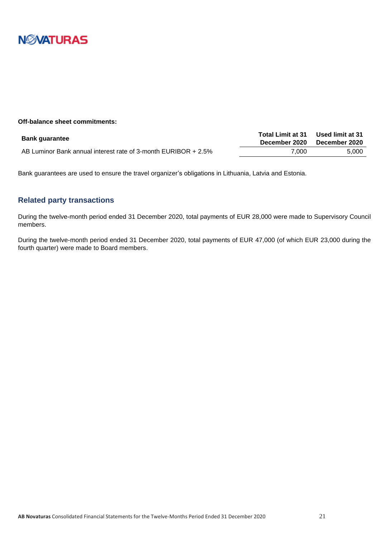

#### **Off-balance sheet commitments:**

| <b>Bank guarantee</b>                                          | <b>Total Limit at 31</b> | Used limit at 31 |
|----------------------------------------------------------------|--------------------------|------------------|
|                                                                | December 2020            | December 2020    |
| AB Luminor Bank annual interest rate of 3-month EURIBOR + 2.5% | 7.000                    | 5.000            |

Bank guarantees are used to ensure the travel organizer's obligations in Lithuania, Latvia and Estonia.

### <span id="page-20-0"></span>**Related party transactions**

During the twelve-month period ended 31 December 2020, total payments of EUR 28,000 were made to Supervisory Council members.

During the twelve-month period ended 31 December 2020, total payments of EUR 47,000 (of which EUR 23,000 during the fourth quarter) were made to Board members.